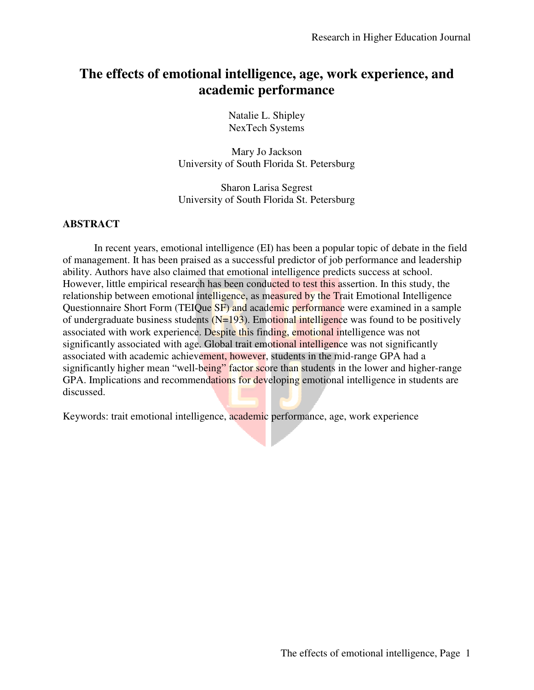# **The effects of emotional intelligence, age, work experience, and academic performance**

Natalie L. Shipley NexTech Systems

Mary Jo Jackson University of South Florida St. Petersburg

Sharon Larisa Segrest University of South Florida St. Petersburg

## **ABSTRACT**

In recent years, emotional intelligence (EI) has been a popular topic of debate in the field of management. It has been praised as a successful predictor of job performance and leadership ability. Authors have also claimed that emotional intelligence predicts success at school. However, little empirical research has been conducted to test this assertion. In this study, the relationship between emotional intelligence, as measured by the Trait Emotional Intelligence Questionnaire Short Form (TEIQue SF) and academic performance were examined in a sample of undergraduate business students  $(N=193)$ . Emotional intelligence was found to be positively associated with work experience. Despite this finding, emotional intelligence was not significantly associated with age. Global trait emotional intelligence was not significantly associated with academic achievement, however, students in the mid-range GPA had a significantly higher mean "well-being" factor score than students in the lower and higher-range GPA. Implications and recommendations for developing emotional intelligence in students are discussed.

Keywords: trait emotional intelligence, academic performance, age, work experience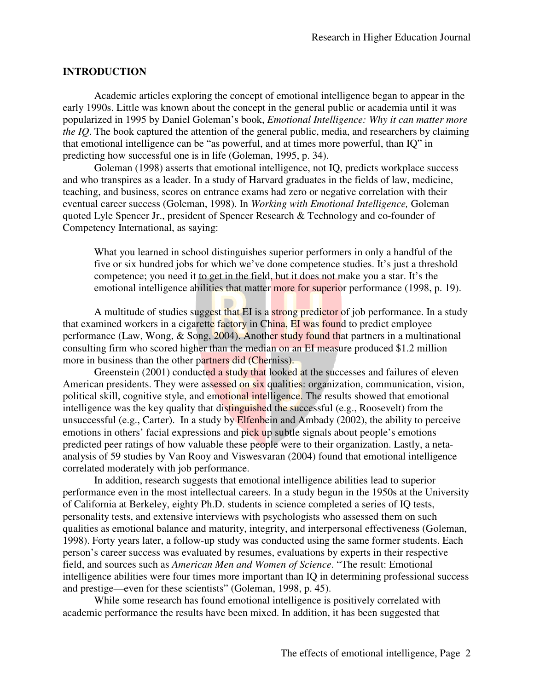#### **INTRODUCTION**

 Academic articles exploring the concept of emotional intelligence began to appear in the early 1990s. Little was known about the concept in the general public or academia until it was popularized in 1995 by Daniel Goleman's book, *Emotional Intelligence: Why it can matter more the IQ*. The book captured the attention of the general public, media, and researchers by claiming that emotional intelligence can be "as powerful, and at times more powerful, than IQ" in predicting how successful one is in life (Goleman, 1995, p. 34).

Goleman (1998) asserts that emotional intelligence, not IQ, predicts workplace success and who transpires as a leader. In a study of Harvard graduates in the fields of law, medicine, teaching, and business, scores on entrance exams had zero or negative correlation with their eventual career success (Goleman, 1998). In *Working with Emotional Intelligence,* Goleman quoted Lyle Spencer Jr., president of Spencer Research & Technology and co-founder of Competency International, as saying:

What you learned in school distinguishes superior performers in only a handful of the five or six hundred jobs for which we've done competence studies. It's just a threshold competence; you need it to get in the field, but it does not make you a star. It's the emotional intelligence abilities that matter more for superior performance (1998, p. 19).

A multitude of studies suggest that EI is a strong predictor of job performance. In a study that examined workers in a cigarette factory in China, EI was found to predict employee performance (Law, Wong, & Song, 2004). Another study found that partners in a multinational consulting firm who scored higher than the median on an EI measure produced \$1.2 million more in business than the other partners did (Cherniss).

Greenstein (2001) conducted a study that looked at the successes and failures of eleven American presidents. They were assessed on six qualities: organization, communication, vision, political skill, cognitive style, and emotional intelligence. The results showed that emotional intelligence was the key quality that distinguished the successful (e.g., Roosevelt) from the unsuccessful (e.g., Carter). In a study by Elfenbein and Ambady (2002), the ability to perceive emotions in others' facial expressions and pick up subtle signals about people's emotions predicted peer ratings of how valuable these people were to their organization. Lastly, a netaanalysis of 59 studies by Van Rooy and Viswesvaran (2004) found that emotional intelligence correlated moderately with job performance.

In addition, research suggests that emotional intelligence abilities lead to superior performance even in the most intellectual careers. In a study begun in the 1950s at the University of California at Berkeley, eighty Ph.D. students in science completed a series of IQ tests, personality tests, and extensive interviews with psychologists who assessed them on such qualities as emotional balance and maturity, integrity, and interpersonal effectiveness (Goleman, 1998). Forty years later, a follow-up study was conducted using the same former students. Each person's career success was evaluated by resumes, evaluations by experts in their respective field, and sources such as *American Men and Women of Science*. "The result: Emotional intelligence abilities were four times more important than IQ in determining professional success and prestige—even for these scientists" (Goleman, 1998, p. 45).

While some research has found emotional intelligence is positively correlated with academic performance the results have been mixed. In addition, it has been suggested that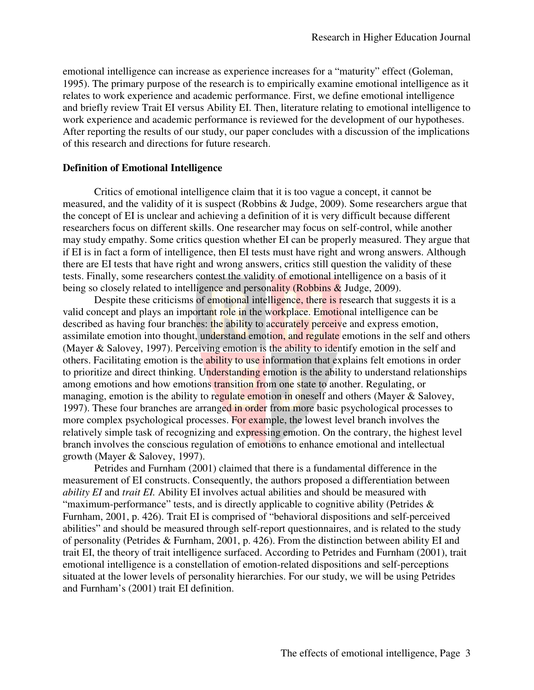emotional intelligence can increase as experience increases for a "maturity" effect (Goleman, 1995). The primary purpose of the research is to empirically examine emotional intelligence as it relates to work experience and academic performance. First, we define emotional intelligence and briefly review Trait EI versus Ability EI. Then, literature relating to emotional intelligence to work experience and academic performance is reviewed for the development of our hypotheses. After reporting the results of our study, our paper concludes with a discussion of the implications of this research and directions for future research.

#### **Definition of Emotional Intelligence**

 Critics of emotional intelligence claim that it is too vague a concept, it cannot be measured, and the validity of it is suspect (Robbins & Judge, 2009). Some researchers argue that the concept of EI is unclear and achieving a definition of it is very difficult because different researchers focus on different skills. One researcher may focus on self-control, while another may study empathy. Some critics question whether EI can be properly measured. They argue that if EI is in fact a form of intelligence, then EI tests must have right and wrong answers. Although there are EI tests that have right and wrong answers, critics still question the validity of these tests. Finally, some researchers contest the validity of emotional intelligence on a basis of it being so closely related to intelligence and personality (Robbins & Judge, 2009).

Despite these criticisms of emotional intelligence, there is research that suggests it is a valid concept and plays an important role in the workplace. Emotional intelligence can be described as having four branches: the ability to accurately perceive and express emotion, assimilate emotion into thought, understand emotion, and regulate emotions in the self and others (Mayer & Salovey, 1997). Perceiving emotion is the ability to identify emotion in the self and others. Facilitating emotion is the ability to use information that explains felt emotions in order to prioritize and direct thinking. Understanding emotion is the ability to understand relationships among emotions and how emotions transition from one state to another. Regulating, or managing, emotion is the ability to regulate emotion in oneself and others (Mayer & Salovey, 1997). These four branches are arranged in order from more basic psychological processes to more complex psychological processes. For example, the lowest level branch involves the relatively simple task of recognizing and expressing emotion. On the contrary, the highest level branch involves the conscious regulation of emotions to enhance emotional and intellectual growth (Mayer & Salovey, 1997).

Petrides and Furnham (2001) claimed that there is a fundamental difference in the measurement of EI constructs. Consequently, the authors proposed a differentiation between *ability EI* and *trait EI.* Ability EI involves actual abilities and should be measured with "maximum-performance" tests, and is directly applicable to cognitive ability (Petrides & Furnham, 2001, p. 426). Trait EI is comprised of "behavioral dispositions and self-perceived abilities" and should be measured through self-report questionnaires, and is related to the study of personality (Petrides & Furnham, 2001, p. 426). From the distinction between ability EI and trait EI, the theory of trait intelligence surfaced. According to Petrides and Furnham (2001), trait emotional intelligence is a constellation of emotion-related dispositions and self-perceptions situated at the lower levels of personality hierarchies. For our study, we will be using Petrides and Furnham's (2001) trait EI definition.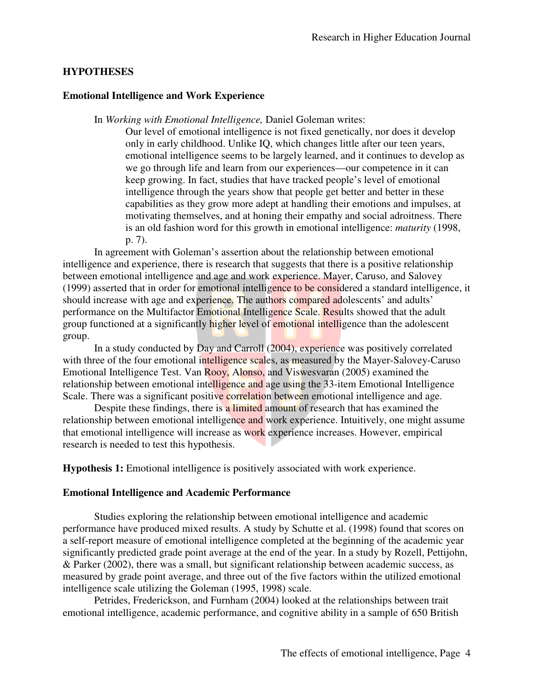### **HYPOTHESES**

#### **Emotional Intelligence and Work Experience**

In *Working with Emotional Intelligence,* Daniel Goleman writes:

Our level of emotional intelligence is not fixed genetically, nor does it develop only in early childhood. Unlike IQ, which changes little after our teen years, emotional intelligence seems to be largely learned, and it continues to develop as we go through life and learn from our experiences—our competence in it can keep growing. In fact, studies that have tracked people's level of emotional intelligence through the years show that people get better and better in these capabilities as they grow more adept at handling their emotions and impulses, at motivating themselves, and at honing their empathy and social adroitness. There is an old fashion word for this growth in emotional intelligence: *maturity* (1998, p. 7).

In agreement with Goleman's assertion about the relationship between emotional intelligence and experience, there is research that suggests that there is a positive relationship between emotional intelligence and age and work experience. Mayer, Caruso, and Salovey (1999) asserted that in order for emotional intelligence to be considered a standard intelligence, it should increase with age and experience. The authors compared adolescents' and adults' performance on the Multifactor Emotional Intelligence Scale. Results showed that the adult group functioned at a significantly higher level of emotional intelligence than the adolescent group.

In a study conducted by Day and Carroll (2004), experience was positively correlated with three of the four emotional intelligence scales, as measured by the Mayer-Salovey-Caruso Emotional Intelligence Test. Van Rooy, Alonso, and Viswesvaran (2005) examined the relationship between emotional intelligence and age using the 33-item Emotional Intelligence Scale. There was a significant positive correlation between emotional intelligence and age.

Despite these findings, there is a limited amount of research that has examined the relationship between emotional intelligence and work experience. Intuitively, one might assume that emotional intelligence will increase as work experience increases. However, empirical research is needed to test this hypothesis.

**Hypothesis 1:** Emotional intelligence is positively associated with work experience.

#### **Emotional Intelligence and Academic Performance**

Studies exploring the relationship between emotional intelligence and academic performance have produced mixed results. A study by Schutte et al. (1998) found that scores on a self-report measure of emotional intelligence completed at the beginning of the academic year significantly predicted grade point average at the end of the year. In a study by Rozell, Pettijohn, & Parker (2002), there was a small, but significant relationship between academic success, as measured by grade point average, and three out of the five factors within the utilized emotional intelligence scale utilizing the Goleman (1995, 1998) scale.

Petrides, Frederickson, and Furnham (2004) looked at the relationships between trait emotional intelligence, academic performance, and cognitive ability in a sample of 650 British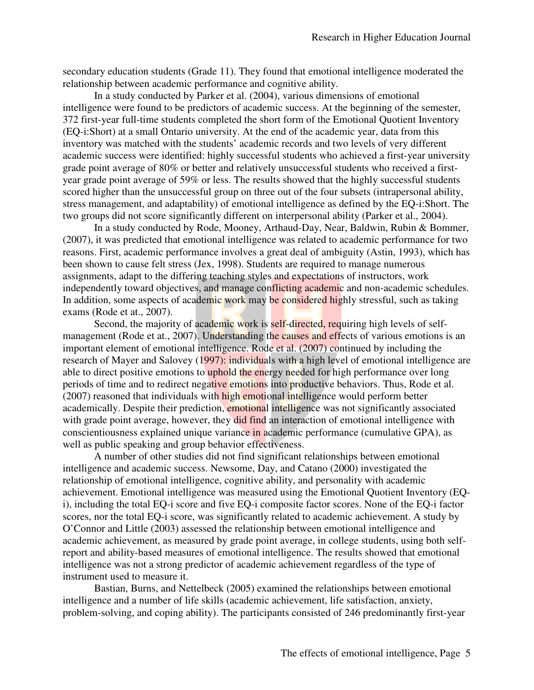secondary education students (Grade 11). They found that emotional intelligence moderated the relationship between academic performance and cognitive ability.

In a study conducted by Parker et al. (2004), various dimensions of emotional intelligence were found to be predictors of academic success. At the beginning of the semester, 372 first-year full-time students completed the short form of the Emotional Quotient Inventory (EQ-i:Short) at a small Ontario university. At the end of the academic year, data from this inventory was matched with the students' academic records and two levels of very different academic success were identified: highly successful students who achieved a first-year university grade point average of 80% or better and relatively unsuccessful students who received a firstyear grade point average of 59% or less. The results showed that the highly successful students scored higher than the unsuccessful group on three out of the four subsets (intrapersonal ability, stress management, and adaptability) of emotional intelligence as defined by the EQ-i:Short. The two groups did not score significantly different on interpersonal ability (Parker et al., 2004).

In a study conducted by Rode, Mooney, Arthaud-Day, Near, Baldwin, Rubin & Bommer, (2007), it was predicted that emotional intelligence was related to academic performance for two reasons. First, academic performance involves a great deal of ambiguity (Astin, 1993), which has been shown to cause felt stress (Jex, 1998). Students are required to manage numerous assignments, adapt to the differing teaching styles and expectations of instructors, work independently toward objectives, and manage conflicting academic and non-academic schedules. In addition, some aspects of academic work may be considered highly stressful, such as taking exams (Rode et at., 2007).

Second, the majority of academic work is self-directed, requiring high levels of selfmanagement (Rode et at., 2007). Understanding the causes and effects of various emotions is an important element of emotional intelligence. Rode et al. (2007) continued by including the research of Mayer and Salovey (1997): individuals with a high level of emotional intelligence are able to direct positive emotions to uphold the energy needed for high performance over long periods of time and to redirect negative emotions into productive behaviors. Thus, Rode et al. (2007) reasoned that individuals with high emotional intelligence would perform better academically. Despite their prediction, emotional intelligence was not significantly associated with grade point average, however, they did find an interaction of emotional intelligence with conscientiousness explained unique variance in academic performance (cumulative GPA), as well as public speaking and group behavior effectiveness.

A number of other studies did not find significant relationships between emotional intelligence and academic success. Newsome, Day, and Catano (2000) investigated the relationship of emotional intelligence, cognitive ability, and personality with academic achievement. Emotional intelligence was measured using the Emotional Quotient Inventory (EQi), including the total EQ-i score and five EQ-i composite factor scores. None of the EQ-i factor scores, nor the total EQ-i score, was significantly related to academic achievement. A study by O'Connor and Little (2003) assessed the relationship between emotional intelligence and academic achievement, as measured by grade point average, in college students, using both selfreport and ability-based measures of emotional intelligence. The results showed that emotional intelligence was not a strong predictor of academic achievement regardless of the type of instrument used to measure it.

Bastian, Burns, and Nettelbeck (2005) examined the relationships between emotional intelligence and a number of life skills (academic achievement, life satisfaction, anxiety, problem-solving, and coping ability). The participants consisted of 246 predominantly first-year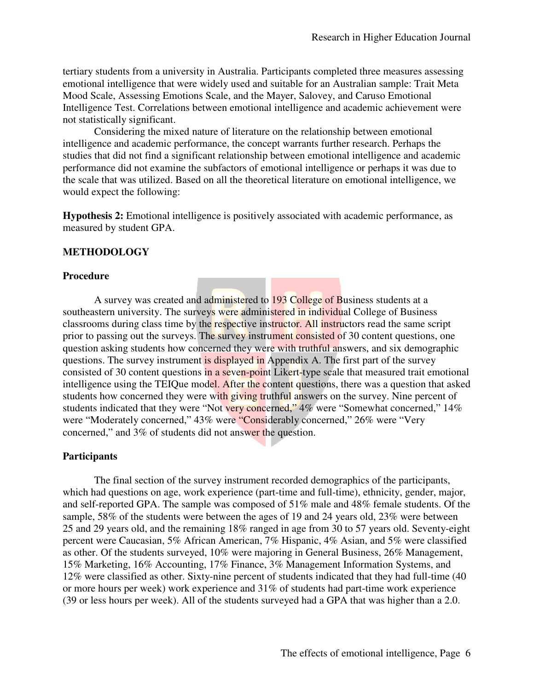tertiary students from a university in Australia. Participants completed three measures assessing emotional intelligence that were widely used and suitable for an Australian sample: Trait Meta Mood Scale, Assessing Emotions Scale, and the Mayer, Salovey, and Caruso Emotional Intelligence Test. Correlations between emotional intelligence and academic achievement were not statistically significant.

Considering the mixed nature of literature on the relationship between emotional intelligence and academic performance, the concept warrants further research. Perhaps the studies that did not find a significant relationship between emotional intelligence and academic performance did not examine the subfactors of emotional intelligence or perhaps it was due to the scale that was utilized. Based on all the theoretical literature on emotional intelligence, we would expect the following:

**Hypothesis 2:** Emotional intelligence is positively associated with academic performance, as measured by student GPA.

### **METHODOLOGY**

#### **Procedure**

A survey was created and administered to 193 College of Business students at a southeastern university. The surveys were administered in individual College of Business classrooms during class time by the respective instructor. All instructors read the same script prior to passing out the surveys. The survey instrument consisted of 30 content questions, one question asking students how concerned they were with truthful answers, and six demographic questions. The survey instrument is displayed in Appendix A. The first part of the survey consisted of 30 content questions in a seven-point Likert-type scale that measured trait emotional intelligence using the TEIQue model. After the content questions, there was a question that asked students how concerned they were with giving truthful answers on the survey. Nine percent of students indicated that they were "Not very concerned," 4% were "Somewhat concerned," 14% were "Moderately concerned," 43% were "Considerably concerned," 26% were "Very concerned," and 3% of students did not answer the question.

### **Participants**

The final section of the survey instrument recorded demographics of the participants, which had questions on age, work experience (part-time and full-time), ethnicity, gender, major, and self-reported GPA. The sample was composed of 51% male and 48% female students. Of the sample, 58% of the students were between the ages of 19 and 24 years old, 23% were between 25 and 29 years old, and the remaining 18% ranged in age from 30 to 57 years old. Seventy-eight percent were Caucasian, 5% African American, 7% Hispanic, 4% Asian, and 5% were classified as other. Of the students surveyed, 10% were majoring in General Business, 26% Management, 15% Marketing, 16% Accounting, 17% Finance, 3% Management Information Systems, and 12% were classified as other. Sixty-nine percent of students indicated that they had full-time (40 or more hours per week) work experience and 31% of students had part-time work experience (39 or less hours per week). All of the students surveyed had a GPA that was higher than a 2.0.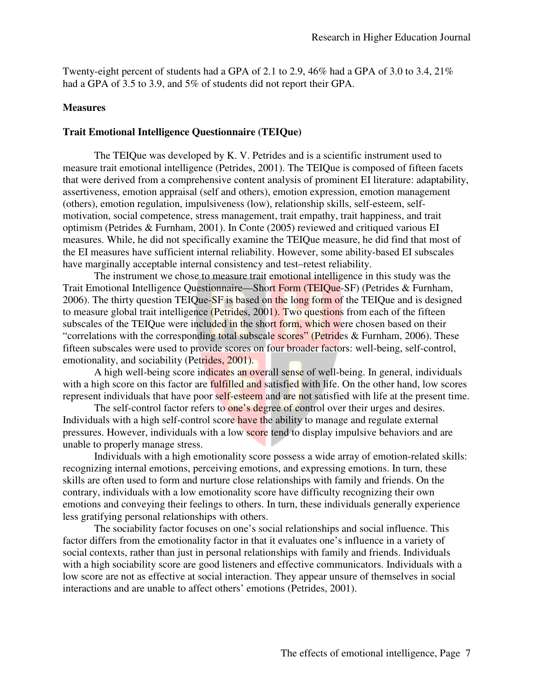Twenty-eight percent of students had a GPA of 2.1 to 2.9, 46% had a GPA of 3.0 to 3.4, 21% had a GPA of 3.5 to 3.9, and 5% of students did not report their GPA.

#### **Measures**

#### **Trait Emotional Intelligence Questionnaire (TEIQue)**

The TEIQue was developed by K. V. Petrides and is a scientific instrument used to measure trait emotional intelligence (Petrides, 2001). The TEIQue is composed of fifteen facets that were derived from a comprehensive content analysis of prominent EI literature: adaptability, assertiveness, emotion appraisal (self and others), emotion expression, emotion management (others), emotion regulation, impulsiveness (low), relationship skills, self-esteem, selfmotivation, social competence, stress management, trait empathy, trait happiness, and trait optimism (Petrides & Furnham, 2001). In Conte (2005) reviewed and critiqued various EI measures. While, he did not specifically examine the TEIQue measure, he did find that most of the EI measures have sufficient internal reliability. However, some ability-based EI subscales have marginally acceptable internal consistency and test–retest reliability.

The instrument we chose to measure trait emotional intelligence in this study was the Trait Emotional Intelligence Questionnaire—Short Form (TEIQue-SF) (Petrides & Furnham, 2006). The thirty question TEIQue-SF is based on the long form of the TEIQue and is designed to measure global trait intelligence (Petrides, 2001). Two questions from each of the fifteen subscales of the TEIQue were included in the short form, which were chosen based on their "correlations with the corresponding total subscale scores" (Petrides & Furnham, 2006). These fifteen subscales were used to provide scores on four broader factors: well-being, self-control, emotionality, and sociability (Petrides, 2001).

A high well-being score indicates an overall sense of well-being. In general, individuals with a high score on this factor are **fulfilled and satisfied** with life. On the other hand, low scores represent individuals that have poor self-esteem and are not satisfied with life at the present time.

The self-control factor refers to one's degree of control over their urges and desires. Individuals with a high self-control score have the ability to manage and regulate external pressures. However, individuals with a low score tend to display impulsive behaviors and are unable to properly manage stress.

Individuals with a high emotionality score possess a wide array of emotion-related skills: recognizing internal emotions, perceiving emotions, and expressing emotions. In turn, these skills are often used to form and nurture close relationships with family and friends. On the contrary, individuals with a low emotionality score have difficulty recognizing their own emotions and conveying their feelings to others. In turn, these individuals generally experience less gratifying personal relationships with others.

The sociability factor focuses on one's social relationships and social influence. This factor differs from the emotionality factor in that it evaluates one's influence in a variety of social contexts, rather than just in personal relationships with family and friends. Individuals with a high sociability score are good listeners and effective communicators. Individuals with a low score are not as effective at social interaction. They appear unsure of themselves in social interactions and are unable to affect others' emotions (Petrides, 2001).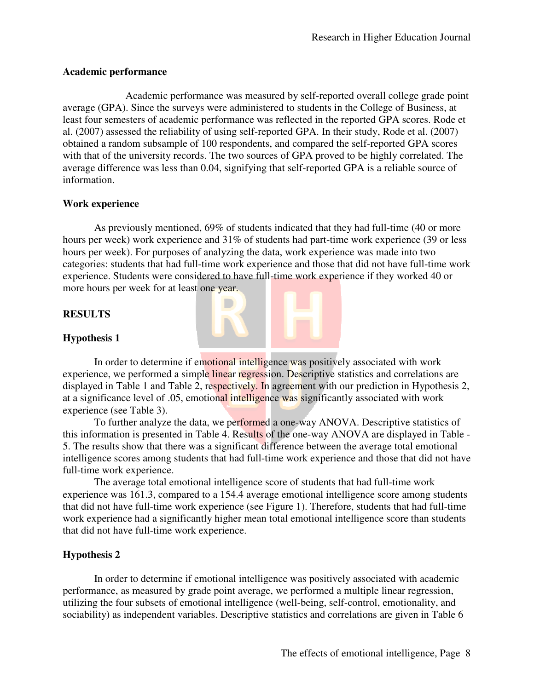## **Academic performance**

 Academic performance was measured by self-reported overall college grade point average (GPA). Since the surveys were administered to students in the College of Business, at least four semesters of academic performance was reflected in the reported GPA scores. Rode et al. (2007) assessed the reliability of using self-reported GPA. In their study, Rode et al. (2007) obtained a random subsample of 100 respondents, and compared the self-reported GPA scores with that of the university records. The two sources of GPA proved to be highly correlated. The average difference was less than 0.04, signifying that self-reported GPA is a reliable source of information.

## **Work experience**

As previously mentioned, 69% of students indicated that they had full-time (40 or more hours per week) work experience and 31% of students had part-time work experience (39 or less hours per week). For purposes of analyzing the data, work experience was made into two categories: students that had full-time work experience and those that did not have full-time work experience. Students were considered to have full-time work experience if they worked 40 or more hours per week for at least one year.

## **RESULTS**

## **Hypothesis 1**

In order to determine if emotional intelligence was positively associated with work experience, we performed a simple linear regression. Descriptive statistics and correlations are displayed in Table 1 and Table 2, respectively. In agreement with our prediction in Hypothesis 2, at a significance level of .05, emotional intelligence was significantly associated with work experience (see Table 3).

To further analyze the data, we performed a one-way ANOVA. Descriptive statistics of this information is presented in Table 4. Results of the one-way ANOVA are displayed in Table - 5. The results show that there was a significant difference between the average total emotional intelligence scores among students that had full-time work experience and those that did not have full-time work experience.

The average total emotional intelligence score of students that had full-time work experience was 161.3, compared to a 154.4 average emotional intelligence score among students that did not have full-time work experience (see Figure 1). Therefore, students that had full-time work experience had a significantly higher mean total emotional intelligence score than students that did not have full-time work experience.

### **Hypothesis 2**

In order to determine if emotional intelligence was positively associated with academic performance, as measured by grade point average, we performed a multiple linear regression, utilizing the four subsets of emotional intelligence (well-being, self-control, emotionality, and sociability) as independent variables. Descriptive statistics and correlations are given in Table 6

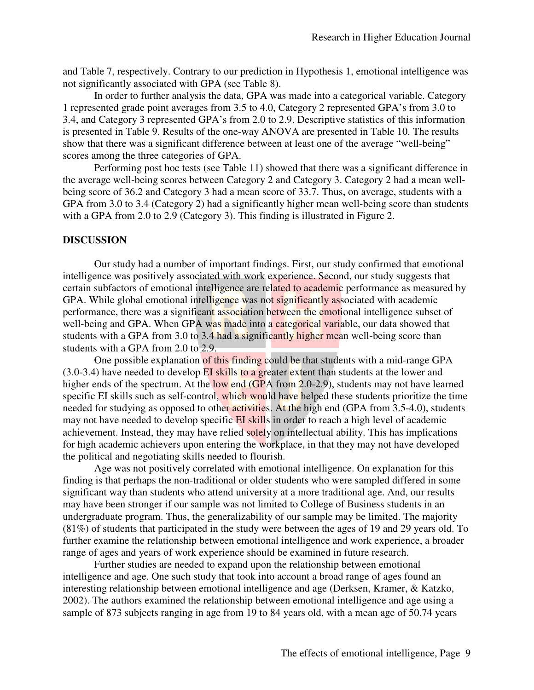and Table 7, respectively. Contrary to our prediction in Hypothesis 1, emotional intelligence was not significantly associated with GPA (see Table 8).

In order to further analysis the data, GPA was made into a categorical variable. Category 1 represented grade point averages from 3.5 to 4.0, Category 2 represented GPA's from 3.0 to 3.4, and Category 3 represented GPA's from 2.0 to 2.9. Descriptive statistics of this information is presented in Table 9. Results of the one-way ANOVA are presented in Table 10. The results show that there was a significant difference between at least one of the average "well-being" scores among the three categories of GPA.

Performing post hoc tests (see Table 11) showed that there was a significant difference in the average well-being scores between Category 2 and Category 3. Category 2 had a mean wellbeing score of 36.2 and Category 3 had a mean score of 33.7. Thus, on average, students with a GPA from 3.0 to 3.4 (Category 2) had a significantly higher mean well-being score than students with a GPA from 2.0 to 2.9 (Category 3). This finding is illustrated in Figure 2.

#### **DISCUSSION**

Our study had a number of important findings. First, our study confirmed that emotional intelligence was positively associated with work experience. Second, our study suggests that certain subfactors of emotional intelligence are related to academic performance as measured by GPA. While global emotional intelligence was not significantly associated with academic performance, there was a significant association between the emotional intelligence subset of well-being and GPA. When GPA was made into a categorical variable, our data showed that students with a GPA from 3.0 to 3.4 had a significantly higher mean well-being score than students with a GPA from 2.0 to 2.9.

One possible explanation of this finding could be that students with a mid-range GPA (3.0-3.4) have needed to develop EI skills to a greater extent than students at the lower and higher ends of the spectrum. At the low end (GPA from 2.0-2.9), students may not have learned specific EI skills such as self-control, which would have helped these students prioritize the time needed for studying as opposed to other **activities**. At the high end (GPA from 3.5-4.0), students may not have needed to develop specific EI skills in order to reach a high level of academic achievement. Instead, they may have relied solely on intellectual ability. This has implications for high academic achievers upon entering the workplace, in that they may not have developed the political and negotiating skills needed to flourish.

Age was not positively correlated with emotional intelligence. On explanation for this finding is that perhaps the non-traditional or older students who were sampled differed in some significant way than students who attend university at a more traditional age. And, our results may have been stronger if our sample was not limited to College of Business students in an undergraduate program. Thus, the generalizability of our sample may be limited. The majority (81%) of students that participated in the study were between the ages of 19 and 29 years old. To further examine the relationship between emotional intelligence and work experience, a broader range of ages and years of work experience should be examined in future research.

Further studies are needed to expand upon the relationship between emotional intelligence and age. One such study that took into account a broad range of ages found an interesting relationship between emotional intelligence and age (Derksen, Kramer, & Katzko, 2002). The authors examined the relationship between emotional intelligence and age using a sample of 873 subjects ranging in age from 19 to 84 years old, with a mean age of 50.74 years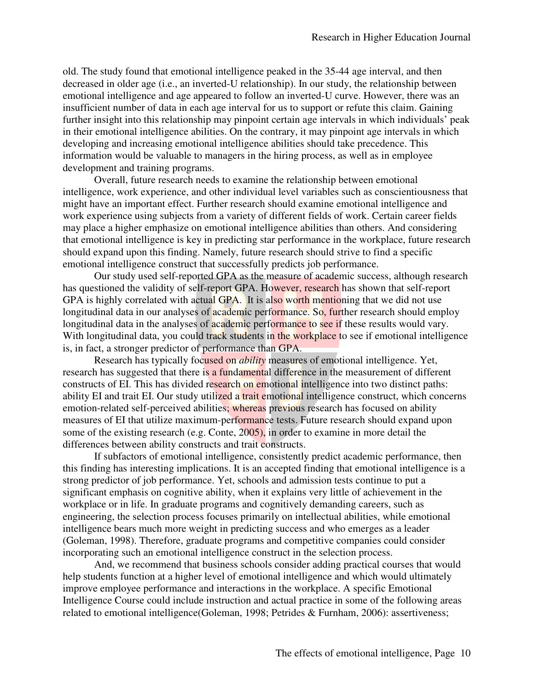old. The study found that emotional intelligence peaked in the 35-44 age interval, and then decreased in older age (i.e., an inverted-U relationship). In our study, the relationship between emotional intelligence and age appeared to follow an inverted-U curve. However, there was an insufficient number of data in each age interval for us to support or refute this claim. Gaining further insight into this relationship may pinpoint certain age intervals in which individuals' peak in their emotional intelligence abilities. On the contrary, it may pinpoint age intervals in which developing and increasing emotional intelligence abilities should take precedence. This information would be valuable to managers in the hiring process, as well as in employee development and training programs.

Overall, future research needs to examine the relationship between emotional intelligence, work experience, and other individual level variables such as conscientiousness that might have an important effect. Further research should examine emotional intelligence and work experience using subjects from a variety of different fields of work. Certain career fields may place a higher emphasize on emotional intelligence abilities than others. And considering that emotional intelligence is key in predicting star performance in the workplace, future research should expand upon this finding. Namely, future research should strive to find a specific emotional intelligence construct that successfully predicts job performance.

Our study used self-reported GPA as the measure of academic success, although research has questioned the validity of self-report GPA. However, research has shown that self-report GPA is highly correlated with actual GPA. It is also worth mentioning that we did not use longitudinal data in our analyses of academic performance. So, further research should employ longitudinal data in the analyses of academic performance to see if these results would vary. With longitudinal data, you could track students in the workplace to see if emotional intelligence is, in fact, a stronger predictor of performance than GPA.

Research has typically focused on *ability* measures of emotional intelligence. Yet, research has suggested that there is a fundamental difference in the measurement of different constructs of EI. This has divided research on emotional intelligence into two distinct paths: ability EI and trait EI. Our study utilized a trait emotional intelligence construct, which concerns emotion-related self-perceived abilities; whereas previous research has focused on ability measures of EI that utilize maximum-performance tests. Future research should expand upon some of the existing research (e.g. Conte, 2005), in order to examine in more detail the differences between ability constructs and trait constructs.

If subfactors of emotional intelligence, consistently predict academic performance, then this finding has interesting implications. It is an accepted finding that emotional intelligence is a strong predictor of job performance. Yet, schools and admission tests continue to put a significant emphasis on cognitive ability, when it explains very little of achievement in the workplace or in life. In graduate programs and cognitively demanding careers, such as engineering, the selection process focuses primarily on intellectual abilities, while emotional intelligence bears much more weight in predicting success and who emerges as a leader (Goleman, 1998). Therefore, graduate programs and competitive companies could consider incorporating such an emotional intelligence construct in the selection process.

And, we recommend that business schools consider adding practical courses that would help students function at a higher level of emotional intelligence and which would ultimately improve employee performance and interactions in the workplace. A specific Emotional Intelligence Course could include instruction and actual practice in some of the following areas related to emotional intelligence(Goleman, 1998; Petrides & Furnham, 2006): assertiveness;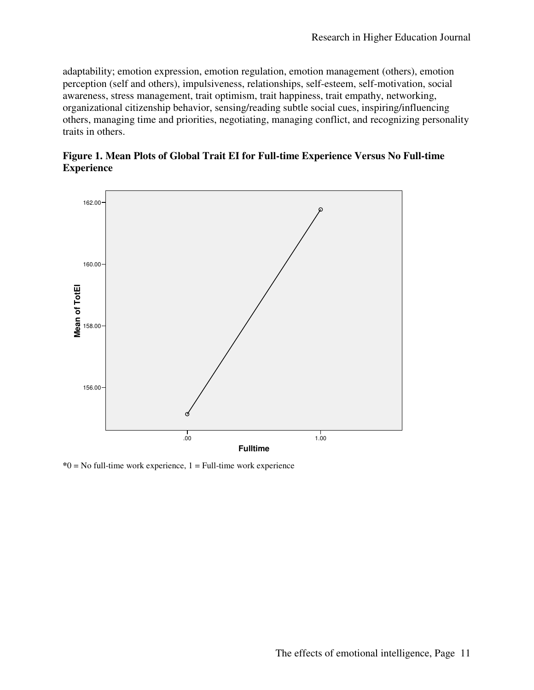adaptability; emotion expression, emotion regulation, emotion management (others), emotion perception (self and others), impulsiveness, relationships, self-esteem, self-motivation, social awareness, stress management, trait optimism, trait happiness, trait empathy, networking, organizational citizenship behavior, sensing/reading subtle social cues, inspiring/influencing others, managing time and priorities, negotiating, managing conflict, and recognizing personality traits in others.





**\***0 = No full-time work experience, 1 = Full-time work experience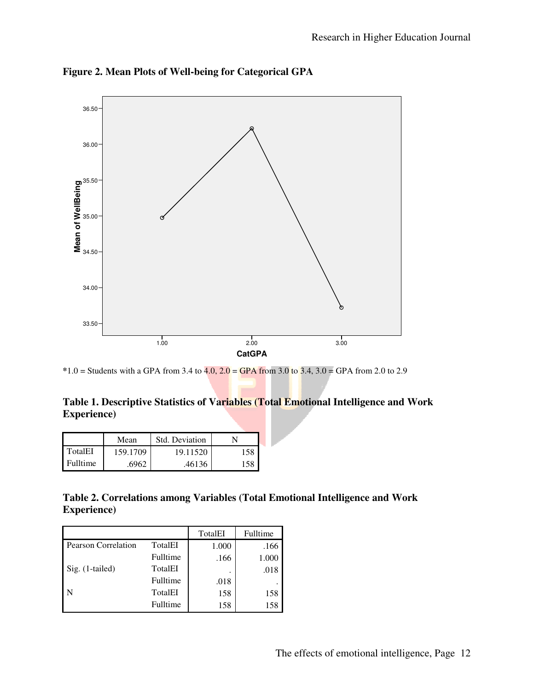

**Figure 2. Mean Plots of Well-being for Categorical GPA** 

**\***1.0 = Students with a GPA from 3.4 to 4.0, 2.0 = GPA from 3.0 to 3.4, 3.0 = GPA from 2.0 to 2.9

**Table 1. Descriptive Statistics of Variables (Total Emotional Intelligence and Work Experience)** 

|                 | Mean     | Std. Deviation |     |
|-----------------|----------|----------------|-----|
| TotalEI         | 159.1709 | 19.11520       | 158 |
| <b>Fulltime</b> | 6962     | .46136         |     |

**Table 2. Correlations among Variables (Total Emotional Intelligence and Work Experience)** 

|                            |          | TotalEI | Fulltime |
|----------------------------|----------|---------|----------|
| <b>Pearson Correlation</b> | TotalEI  | 1.000   | .166     |
|                            | Fulltime | .166    | 1.000    |
| Sig. (1-tailed)            | TotalEI  |         | .018     |
|                            | Fulltime | .018    |          |
| -N                         | TotalEI  | 158     | 158      |
|                            | Fulltime | 158     | 158      |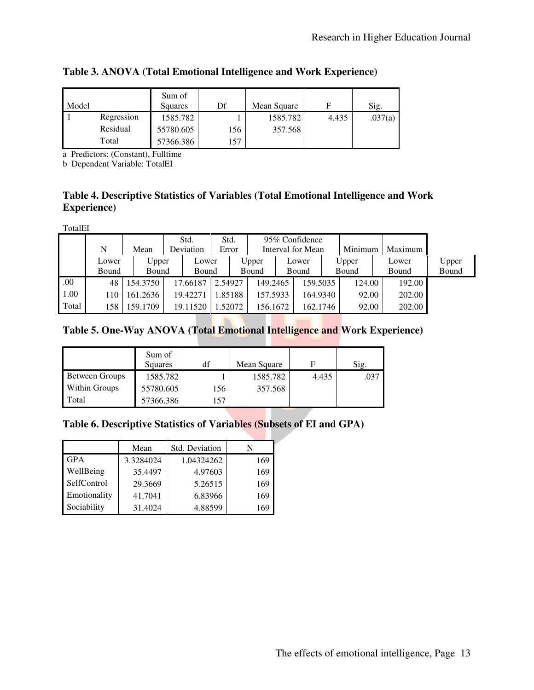| Model |            | Sum of<br>Squares | Df  | Mean Square | F     | Sig.    |
|-------|------------|-------------------|-----|-------------|-------|---------|
|       | Regression | 1585.782          |     | 1585.782    | 4.435 | .037(a) |
|       | Residual   | 55780.605         | 156 | 357.568     |       |         |
|       | Total      | 57366.386         | 157 |             |       |         |

# **Table 3. ANOVA (Total Emotional Intelligence and Work Experience)**

a Predictors: (Constant), Fulltime

b Dependent Variable: TotalEI

# **Table 4. Descriptive Statistics of Variables (Total Emotional Intelligence and Work Experience)**

TotalEI

|       |       |          | Std.      |          | Std.    |                     | 95% Confidence |                   |          |       |         |         |       |
|-------|-------|----------|-----------|----------|---------|---------------------|----------------|-------------------|----------|-------|---------|---------|-------|
|       | N     | Mean     | Deviation |          | Error   |                     |                | Interval for Mean |          |       | Minimum | Maximum |       |
|       | Lower | Upper    | Lower     |          |         | Upper               |                | Lower             |          |       | Upper   | Lower   | Upper |
|       | Bound | Bound    | Bound     |          | Bound   |                     | Bound          |                   |          | Bound | Bound   | Bound   |       |
| .00.  | 48    | 154.3750 |           | 17.66187 | 2.54927 |                     | 149.2465       |                   | 159.5035 |       | 124.00  | 192.00  |       |
| 1.00  | 110   | 161.2636 |           | 19.42271 |         | 157.5933<br>1.85188 |                | 164.9340          |          |       | 92.00   | 202.00  |       |
| Total | 158   | 159.1709 |           | 19.11520 |         | 1.52072<br>156.1672 |                | 162.1746          |          |       | 92.00   | 202.00  |       |

# **Table 5. One-Way ANOVA (Total Emotional Intelligence and Work Experience)**

|                | Sum of<br>Squares | df  | Mean Square | F     | Sig. |
|----------------|-------------------|-----|-------------|-------|------|
| Between Groups | 1585.782          |     | 1585.782    | 4.435 | .037 |
| Within Groups  | 55780.605         | 156 | 357.568     |       |      |
| Total          | 57366.386         | 157 |             |       |      |

# **Table 6. Descriptive Statistics of Variables (Subsets of EI and GPA)**

|              | Mean      | Std. Deviation |     |
|--------------|-----------|----------------|-----|
| <b>GPA</b>   | 3.3284024 | 1.04324262     | 169 |
| WellBeing    | 35.4497   | 4.97603        | 169 |
| SelfControl  | 29.3669   | 5.26515        | 169 |
| Emotionality | 41.7041   | 6.83966        | 169 |
| Sociability  | 31.4024   | 4.88599        | 169 |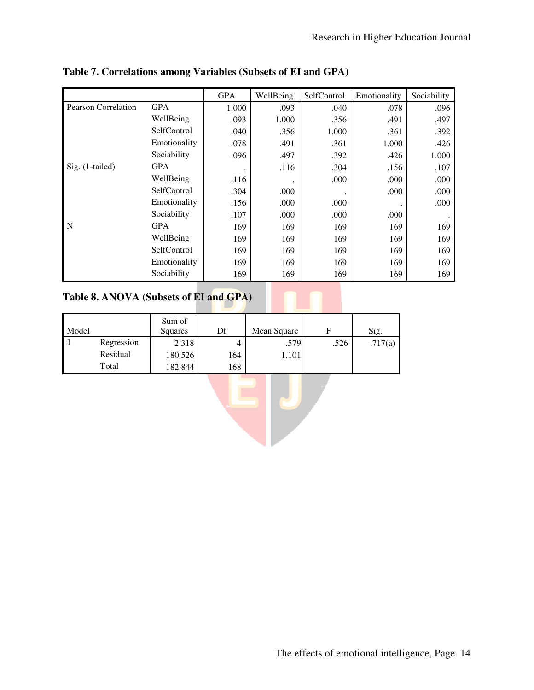|                            |              | <b>GPA</b> | WellBeing | SelfControl | Emotionality | Sociability |
|----------------------------|--------------|------------|-----------|-------------|--------------|-------------|
| <b>Pearson Correlation</b> | <b>GPA</b>   | 1.000      | .093      | .040        | .078         | .096        |
|                            | WellBeing    | .093       | 1.000     | .356        | .491         | .497        |
|                            | SelfControl  | .040       | .356      | 1.000       | .361         | .392        |
|                            | Emotionality | .078       | .491      | .361        | 1.000        | .426        |
|                            | Sociability  | .096       | .497      | .392        | .426         | 1.000       |
| $Sig.$ (1-tailed)          | <b>GPA</b>   |            | .116      | .304        | .156         | .107        |
|                            | WellBeing    | .116       |           | .000        | .000         | .000        |
|                            | SelfControl  | .304       | .000      |             | .000         | .000        |
|                            | Emotionality | .156       | .000      | .000        |              | .000        |
|                            | Sociability  | .107       | .000      | .000        | .000         |             |
| $\mathbf N$                | <b>GPA</b>   | 169        | 169       | 169         | 169          | 169         |
|                            | WellBeing    | 169        | 169       | 169         | 169          | 169         |
|                            | SelfControl  | 169        | 169       | 169         | 169          | 169         |
|                            | Emotionality | 169        | 169       | 169         | 169          | 169         |
|                            | Sociability  | 169        | 169       | 169         | 169          | 169         |

## **Table 7. Correlations among Variables (Subsets of EI and GPA)**

# **Table 8. ANOVA (Subsets of EI and GPA)**

| Model |            | Sum of<br>Squares | Df  | Mean Square |      | Sig.    |
|-------|------------|-------------------|-----|-------------|------|---------|
|       | Regression | 2.318             |     | .579        | .526 | .717(a) |
|       | Residual   | 180.526           | 164 | 1.101       |      |         |
|       | Total      | 182.844           | 168 |             |      |         |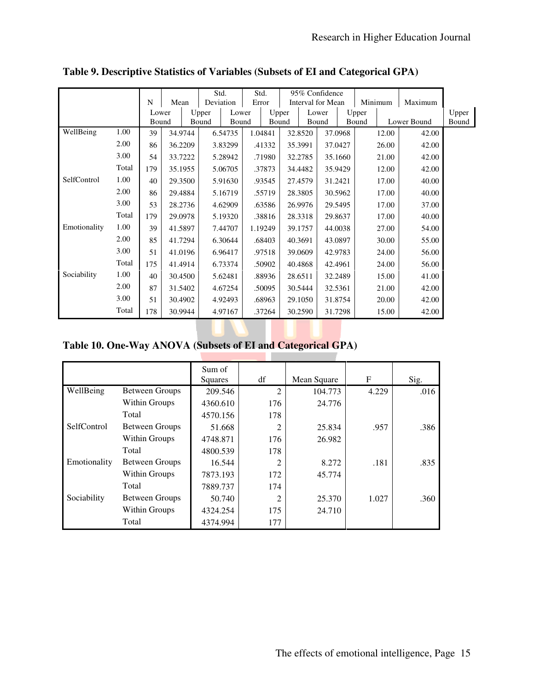|              |       |       |         | Std.      |         | Std.  |         |         |         | 95% Confidence    |         |       |             |         |       |
|--------------|-------|-------|---------|-----------|---------|-------|---------|---------|---------|-------------------|---------|-------|-------------|---------|-------|
|              |       | N     | Mean    | Deviation |         | Error |         |         |         | Interval for Mean |         |       | Minimum     | Maximum |       |
|              |       | Lower |         | Upper     | Lower   |       |         | Upper   |         | Lower             |         | Upper |             |         | Upper |
|              |       | Bound |         | Bound     | Bound   |       | Bound   |         | Bound   |                   |         | Bound | Lower Bound |         | Bound |
| WellBeing    | 1.00  | 39    | 34.9744 |           | 6.54735 |       | 1.04841 |         | 32.8520 | 37.0968           |         |       | 12.00       | 42.00   |       |
|              | 2.00  | 86    | 36.2209 |           | 3.83299 |       | .41332  |         | 35.3991 | 37.0427           |         |       | 26.00       | 42.00   |       |
|              | 3.00  | 54    | 33.7222 |           | 5.28942 |       | .71980  | 32.2785 |         | 35.1660           |         |       | 21.00       | 42.00   |       |
|              | Total | 179   | 35.1955 |           | 5.06705 |       | .37873  |         | 34.4482 | 35.9429           |         |       | 12.00       | 42.00   |       |
| SelfControl  | 1.00  | 40    | 29.3500 |           | 5.91630 |       | .93545  | 27.4579 |         | 31.2421           |         |       | 17.00       | 40.00   |       |
|              | 2.00  | 86    | 29.4884 |           | 5.16719 |       | .55719  |         | 28.3805 |                   | 30.5962 |       | 17.00       | 40.00   |       |
|              | 3.00  | 53    | 28.2736 |           | 4.62909 |       | .63586  |         | 26.9976 |                   | 29.5495 |       | 17.00       | 37.00   |       |
|              | Total | 179   | 29.0978 |           | 5.19320 |       | .38816  |         | 28.3318 |                   | 29.8637 |       | 17.00       | 40.00   |       |
| Emotionality | 1.00  | 39    | 41.5897 |           | 7.44707 |       | 1.19249 |         | 39.1757 |                   | 44.0038 |       | 27.00       | 54.00   |       |
|              | 2.00  | 85    | 41.7294 |           | 6.30644 |       | .68403  |         | 40.3691 |                   | 43.0897 |       | 30.00       | 55.00   |       |
|              | 3.00  | 51    | 41.0196 |           | 6.96417 |       | .97518  |         | 39.0609 | 42.9783           |         |       | 24.00       | 56.00   |       |
|              | Total | 175   | 41.4914 |           | 6.73374 |       | .50902  |         | 40.4868 | 42.4961           |         |       | 24.00       | 56.00   |       |
| Sociability  | 1.00  | 40    | 30.4500 |           | 5.62481 |       | .88936  |         | 28.6511 | 32.2489           |         |       | 15.00       | 41.00   |       |
|              | 2.00  | 87    | 31.5402 |           | 4.67254 |       | .50095  |         | 30.5444 | 32.5361           |         |       | 21.00       | 42.00   |       |
|              | 3.00  | 51    | 30.4902 |           | 4.92493 |       | .68963  |         | 29.1050 | 31.8754           |         | 20.00 |             | 42.00   |       |
|              | Total | 178   | 30.9944 |           | 4.97167 |       | .37264  |         | 30.2590 | 31.7298           |         |       | 15.00       | 42.00   |       |

**Table 9. Descriptive Statistics of Variables (Subsets of EI and Categorical GPA)**

# **Table 10. One-Way ANOVA (Subsets of EI and Categorical GPA)**

|              |                       | Sum of<br>Squares | df             | Mean Square | $\mathbf F$ | Sig. |
|--------------|-----------------------|-------------------|----------------|-------------|-------------|------|
| WellBeing    | <b>Between Groups</b> | 209.546           | $\overline{2}$ | 104.773     | 4.229       | .016 |
|              | Within Groups         | 4360.610          | 176            | 24.776      |             |      |
|              | Total                 | 4570.156          | 178            |             |             |      |
| SelfControl  | <b>Between Groups</b> | 51.668            | 2              | 25.834      | .957        | .386 |
|              | Within Groups         | 4748.871          | 176            | 26.982      |             |      |
|              | Total                 | 4800.539          | 178            |             |             |      |
| Emotionality | <b>Between Groups</b> | 16.544            | $\overline{2}$ | 8.272       | .181        | .835 |
|              | Within Groups         | 7873.193          | 172            | 45.774      |             |      |
|              | Total                 | 7889.737          | 174            |             |             |      |
| Sociability  | <b>Between Groups</b> | 50.740            | $\overline{2}$ | 25.370      | 1.027       | .360 |
|              | Within Groups         | 4324.254          | 175            | 24.710      |             |      |
|              | Total                 | 4374.994          | 177            |             |             |      |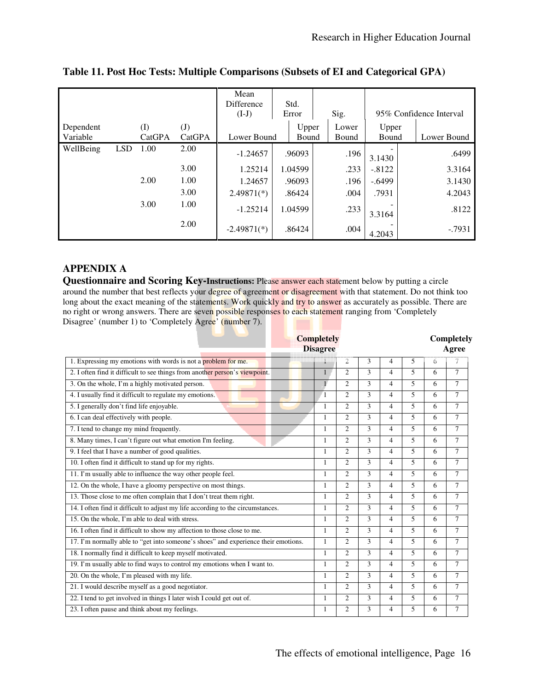|           |            |        |                            | Mean<br><b>Difference</b><br>$(I-J)$ |  | Std.<br>Error |       | Sig.  |          | 95% Confidence Interval |       |  |
|-----------|------------|--------|----------------------------|--------------------------------------|--|---------------|-------|-------|----------|-------------------------|-------|--|
| Dependent |            | (I)    | $\left( \mathrm{J}\right)$ |                                      |  |               | Upper |       | Lower    |                         | Upper |  |
| Variable  |            | CatGPA | CatGPA                     | Lower Bound                          |  | Bound         |       | Bound | Bound    | Lower Bound             |       |  |
| WellBeing | <b>LSD</b> | 1.00   | 2.00                       | $-1.24657$                           |  | .96093        |       | .196  | 3.1430   | .6499                   |       |  |
|           |            |        | 3.00                       | 1.25214                              |  | 1.04599       |       | .233  | $-.8122$ | 3.3164                  |       |  |
|           |            | 2.00   | 1.00                       | 1.24657                              |  | .96093        |       | .196  | $-.6499$ | 3.1430                  |       |  |
|           |            |        | 3.00                       | $2.49871(*)$                         |  | .86424        |       | .004  | .7931    | 4.2043                  |       |  |
|           |            | 3.00   | 1.00                       | $-1.25214$                           |  | 1.04599       |       | .233  | 3.3164   | .8122                   |       |  |
|           |            |        | 2.00                       | $-2.49871(*)$                        |  | .86424        |       | .004  | 4.2043   | $-0.7931$               |       |  |

## **Table 11. Post Hoc Tests: Multiple Comparisons (Subsets of EI and Categorical GPA)**

# **APPENDIX A**

**Questionnaire and Scoring Key-Instructions:** Please answer each statement below by putting a circle around the number that best reflects your degree of agreement or disagreement with that statement. Do not think too long about the exact meaning of the statements. Work quickly and try to answer as accurately as possible. There are no right or wrong answers. There are seven possible responses to each statement ranging from 'Completely Disagree' (number 1) to 'Completely Agree' (number 7).

|                                                                                    | <b>Completely</b><br><b>Disagree</b> |                        |               |                          |                          |   | Completely<br>Agree |
|------------------------------------------------------------------------------------|--------------------------------------|------------------------|---------------|--------------------------|--------------------------|---|---------------------|
| 1. Expressing my emotions with words is not a <b>problem</b> for me.               |                                      | $\mathfrak{D}$         | 3             | $\overline{4}$           | 5                        | 6 | 7                   |
| 2. I often find it difficult to see things from another person's viewpoint.        | 1                                    | $\overline{c}$         | 3             | $\overline{4}$           | 5                        | 6 | $\tau$              |
| 3. On the whole, I'm a highly motivated person.                                    | $\mathbf{1}$                         | $\mathcal{D}_{\alpha}$ | $\mathbf{3}$  | 4                        | $\overline{\phantom{0}}$ | 6 | $\tau$              |
| 4. I usually find it difficult to regulate my emotions.                            | $\overline{1}$                       | $\overline{c}$         | $\mathcal{L}$ | $\overline{\mathcal{L}}$ | $\overline{\phantom{0}}$ | 6 | $\tau$              |
| 5. I generally don't find life enjoyable.                                          | 1                                    | $\overline{2}$         | $\mathcal{L}$ | $\overline{\mathcal{L}}$ | 5                        | 6 | $\tau$              |
| 6. I can deal effectively with people.                                             | 1                                    | $\mathfrak{2}$         | 3             | $\overline{4}$           | $\overline{\phantom{0}}$ | 6 | $\tau$              |
| 7. I tend to change my mind frequently.                                            | $\mathbf{1}$                         | $\mathfrak{D}$         | $\mathcal{L}$ | $\overline{\mathcal{L}}$ | $\overline{\phantom{0}}$ | 6 | $\overline{7}$      |
| 8. Many times, I can't figure out what emotion I'm feeling.                        | 1                                    | $\overline{2}$         | 3             | $\overline{\mathcal{L}}$ | $\overline{\phantom{0}}$ | 6 | $\tau$              |
| 9. I feel that I have a number of good qualities.                                  | $\mathbf{1}$                         | $\mathfrak{D}$         | 3             | $\overline{\mathcal{L}}$ | $\overline{\phantom{0}}$ | 6 | $\tau$              |
| 10. I often find it difficult to stand up for my rights.                           | 1                                    | $\overline{c}$         | 3             | 4                        | 5                        | 6 | 7                   |
| 11. I'm usually able to influence the way other people feel.                       | $\mathbf{1}$                         | $\overline{c}$         | 3             | $\overline{4}$           | 5                        | 6 | 7                   |
| 12. On the whole, I have a gloomy perspective on most things.                      | 1                                    | $\overline{c}$         | 3             | $\overline{4}$           | 5                        | 6 | 7                   |
| 13. Those close to me often complain that I don't treat them right.                | 1                                    | $\overline{c}$         | 3             | 4                        | 5                        | 6 | 7                   |
| 14. I often find it difficult to adjust my life according to the circumstances.    | 1                                    | $\overline{c}$         | 3             | 4                        | 5                        | 6 | $\overline{7}$      |
| 15. On the whole, I'm able to deal with stress.                                    | 1                                    | $\overline{c}$         | 3             | 4                        | 5                        | 6 | 7                   |
| 16. I often find it difficult to show my affection to those close to me.           | 1                                    | $\overline{2}$         | 3             | 4                        | 5                        | 6 | 7                   |
| 17. I'm normally able to "get into someone's shoes" and experience their emotions. | 1                                    | $\mathfrak{2}$         | 3             | 4                        | 5                        | 6 | 7                   |
| 18. I normally find it difficult to keep myself motivated.                         | 1                                    | $\overline{2}$         | 3             | $\overline{\mathcal{A}}$ | 5                        | 6 | 7                   |
| 19. I'm usually able to find ways to control my emotions when I want to.           | 1                                    | $\overline{c}$         | 3             | 4                        | 5                        | 6 | 7                   |
| 20. On the whole, I'm pleased with my life.                                        | 1                                    | $\overline{2}$         | 3             | 4                        | 5                        | 6 | 7                   |
| 21. I would describe myself as a good negotiator.                                  | 1                                    | $\mathfrak{D}$         | $\mathcal{L}$ | 4                        | $\overline{\phantom{0}}$ | 6 | 7                   |
| 22. I tend to get involved in things I later wish I could get out of.              | 1                                    | $\overline{c}$         | 3             | $\overline{4}$           | 5                        | 6 | 7                   |
| 23. I often pause and think about my feelings.                                     | 1                                    | $\overline{c}$         | 3             | $\overline{4}$           | 5                        | 6 | 7                   |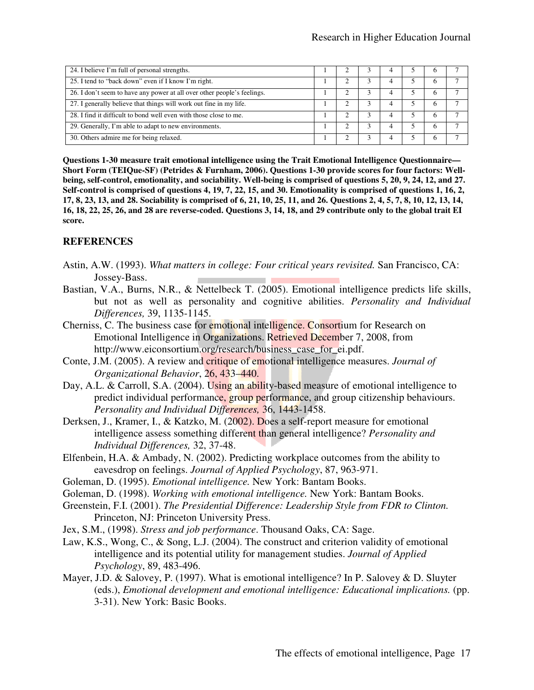| 24. I believe I'm full of personal strengths.                           |  |  |              |  |
|-------------------------------------------------------------------------|--|--|--------------|--|
| 25. I tend to "back down" even if I know I'm right.                     |  |  |              |  |
| 26. I don't seem to have any power at all over other people's feelings. |  |  |              |  |
| 27. I generally believe that things will work out fine in my life.      |  |  |              |  |
| 28. I find it difficult to bond well even with those close to me.       |  |  |              |  |
| 29. Generally, I'm able to adapt to new environments.                   |  |  | <sub>t</sub> |  |
| 30. Others admire me for being relaxed.                                 |  |  |              |  |

**Questions 1-30 measure trait emotional intelligence using the Trait Emotional Intelligence Questionnaire— Short Form (TEIQue-SF) (Petrides & Furnham, 2006). Questions 1-30 provide scores for four factors: Wellbeing, self-control, emotionality, and sociability. Well-being is comprised of questions 5, 20, 9, 24, 12, and 27. Self-control is comprised of questions 4, 19, 7, 22, 15, and 30. Emotionality is comprised of questions 1, 16, 2, 17, 8, 23, 13, and 28. Sociability is comprised of 6, 21, 10, 25, 11, and 26. Questions 2, 4, 5, 7, 8, 10, 12, 13, 14, 16, 18, 22, 25, 26, and 28 are reverse-coded. Questions 3, 14, 18, and 29 contribute only to the global trait EI score.** 

### **REFERENCES**

- Astin, A.W. (1993). *What matters in college: Four critical years revisited.* San Francisco, CA: Jossey-Bass.
- Bastian, V.A., Burns, N.R., & Nettelbeck T. (2005). Emotional intelligence predicts life skills, but not as well as personality and cognitive abilities. *Personality and Individual Differences,* 39, 1135-1145.
- Cherniss, C. The business case for emotional intelligence. Consortium for Research on Emotional Intelligence in Organizations. Retrieved December 7, 2008, from http://www.eiconsortium.org/research/business\_case\_for\_ei.pdf.
- Conte, J.M. (2005). A review and critique of emotional intelligence measures. *Journal of Organizational Behavior*, 26, 433–440.
- Day, A.L. & Carroll, S.A. (2004). Using an ability-based measure of emotional intelligence to predict individual performance, group performance, and group citizenship behaviours. *Personality and Individual Differences,* 36, 1443-1458.
- Derksen, J., Kramer, I., & Katzko, M. (2002). Does a self-report measure for emotional intelligence assess something different than general intelligence? *Personality and Individual Differences,* 32, 37-48.
- Elfenbein, H.A. & Ambady, N. (2002). Predicting workplace outcomes from the ability to eavesdrop on feelings. *Journal of Applied Psychology*, 87, 963-971.
- Goleman, D. (1995). *Emotional intelligence.* New York: Bantam Books.
- Goleman, D. (1998). *Working with emotional intelligence.* New York: Bantam Books.
- Greenstein, F.I. (2001). *The Presidential Difference: Leadership Style from FDR to Clinton.*  Princeton, NJ: Princeton University Press.
- Jex, S.M., (1998). *Stress and job performance*. Thousand Oaks, CA: Sage.
- Law, K.S., Wong, C., & Song, L.J. (2004). The construct and criterion validity of emotional intelligence and its potential utility for management studies. *Journal of Applied Psychology*, 89, 483-496.
- Mayer, J.D. & Salovey, P. (1997). What is emotional intelligence? In P. Salovey & D. Sluyter (eds.), *Emotional development and emotional intelligence: Educational implications.* (pp. 3-31). New York: Basic Books.